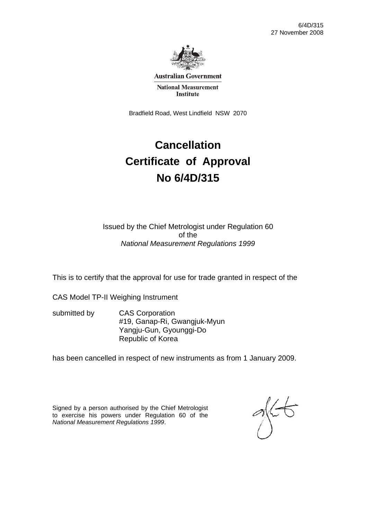

**Australian Government** 

**National Measurement Institute** 

Bradfield Road, West Lindfield NSW 2070

# **Cancellation Certificate of Approval No 6/4D/315**

Issued by the Chief Metrologist under Regulation 60 of the *National Measurement Regulations 1999* 

This is to certify that the approval for use for trade granted in respect of the

CAS Model TP-II Weighing Instrument

submitted by CAS Corporation #19, Ganap-Ri, Gwangjuk-Myun Yangju-Gun, Gyounggi-Do Republic of Korea

has been cancelled in respect of new instruments as from 1 January 2009.

Signed by a person authorised by the Chief Metrologist to exercise his powers under Regulation 60 of the *National Measurement Regulations 1999*.

 $\frac{1}{2}$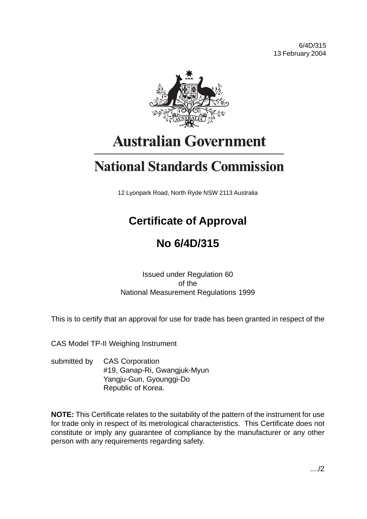

# **Australian Government**

# **National Standards Commission**

12 Lyonpark Road, North Ryde NSW 2113 Australia

# **Certificate of Approval**

# **No 6/4D/315**

Issued under Regulation 60 of the National Measurement Regulations 1999

This is to certify that an approval for use for trade has been granted in respect of the

CAS Model TP-II Weighing Instrument

submitted by CAS Corporation #19, Ganap-Ri, Gwangjuk-Myun Yangju-Gun, Gyounggi-Do Republic of Korea.

**NOTE:** This Certificate relates to the suitability of the pattern of the instrument for use for trade only in respect of its metrological characteristics. This Certificate does not constitute or imply any guarantee of compliance by the manufacturer or any other person with any requirements regarding safety.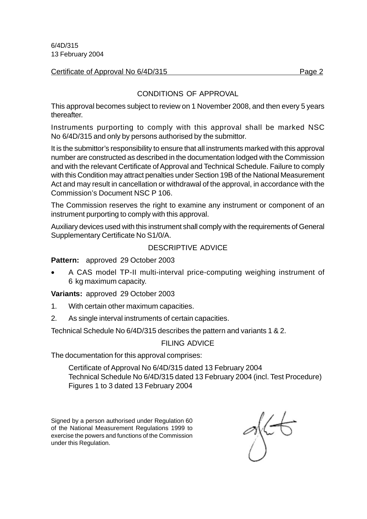#### Certificate of Approval No 6/4D/315

### CONDITIONS OF APPROVAL

This approval becomes subject to review on 1 November 2008, and then every 5 years thereafter.

Instruments purporting to comply with this approval shall be marked NSC No 6/4D/315 and only by persons authorised by the submittor.

It is the submittor's responsibility to ensure that all instruments marked with this approval number are constructed as described in the documentation lodged with the Commission and with the relevant Certificate of Approval and Technical Schedule. Failure to comply with this Condition may attract penalties under Section 19B of the National Measurement Act and may result in cancellation or withdrawal of the approval, in accordance with the Commission's Document NSC P 106.

The Commission reserves the right to examine any instrument or component of an instrument purporting to comply with this approval.

Auxiliary devices used with this instrument shall comply with the requirements of General Supplementary Certificate No S1/0/A.

#### DESCRIPTIVE ADVICE

**Pattern:** approved 29 October 2003

• A CAS model TP-II multi-interval price-computing weighing instrument of 6 kg maximum capacity.

**Variants:** approved 29 October 2003

- 1. With certain other maximum capacities.
- 2. As single interval instruments of certain capacities.

Technical Schedule No 6/4D/315 describes the pattern and variants 1 & 2.

#### FILING ADVICE

The documentation for this approval comprises:

Certificate of Approval No 6/4D/315 dated 13 February 2004 Technical Schedule No 6/4D/315 dated 13 February 2004 (incl. Test Procedure) Figures 1 to 3 dated 13 February 2004

Signed by a person authorised under Regulation 60 of the National Measurement Regulations 1999 to exercise the powers and functions of the Commission under this Regulation.

glEt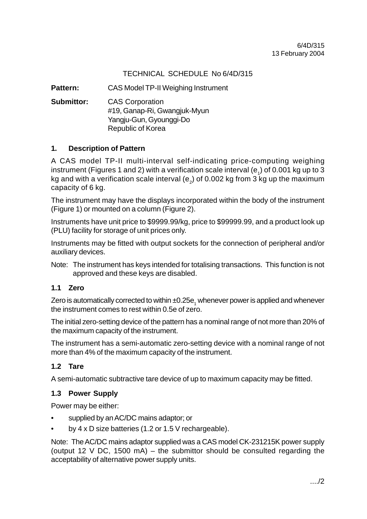# TECHNICAL SCHEDULE No 6/4D/315

**Pattern:** CAS Model TP-II Weighing Instrument

**Submittor:** CAS Corporation #19, Ganap-Ri, Gwangjuk-Myun Yangju-Gun, Gyounggi-Do Republic of Korea

### **1. Description of Pattern**

A CAS model TP-II multi-interval self-indicating price-computing weighing instrument (Figures 1 and 2) with a verification scale interval (e<sub>1</sub>) of 0.001 kg up to 3 kg and with a verification scale interval (e<sub>2</sub>) of 0.002 kg from 3 kg up the maximum capacity of 6 kg.

The instrument may have the displays incorporated within the body of the instrument (Figure 1) or mounted on a column (Figure 2).

Instruments have unit price to \$9999.99/kg, price to \$99999.99, and a product look up (PLU) facility for storage of unit prices only.

Instruments may be fitted with output sockets for the connection of peripheral and/or auxiliary devices.

Note: The instrument has keys intended for totalising transactions. This function is not approved and these keys are disabled.

# **1.1 Zero**

Zero is automatically corrected to within  $\pm 0.25{\rm e}^{-}_{1}$  whenever power is applied and whenever the instrument comes to rest within 0.5e of zero.

The initial zero-setting device of the pattern has a nominal range of not more than 20% of the maximum capacity of the instrument.

The instrument has a semi-automatic zero-setting device with a nominal range of not more than 4% of the maximum capacity of the instrument.

# **1.2 Tare**

A semi-automatic subtractive tare device of up to maximum capacity may be fitted.

#### **1.3 Power Supply**

Power may be either:

- supplied by an AC/DC mains adaptor; or
- by 4 x D size batteries (1.2 or 1.5 V rechargeable).

Note: The AC/DC mains adaptor supplied was a CAS model CK-231215K power supply (output 12 V DC, 1500 mA) – the submittor should be consulted regarding the acceptability of alternative power supply units.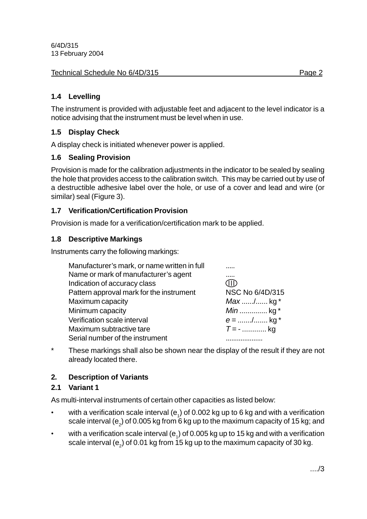#### Technical Schedule No 6/4D/315 **Page 2** Page 2

# **1.4 Levelling**

The instrument is provided with adjustable feet and adjacent to the level indicator is a notice advising that the instrument must be level when in use.

# **1.5 Display Check**

A display check is initiated whenever power is applied.

# **1.6 Sealing Provision**

Provision is made for the calibration adjustments in the indicator to be sealed by sealing the hole that provides access to the calibration switch. This may be carried out by use of a destructible adhesive label over the hole, or use of a cover and lead and wire (or similar) seal (Figure 3).

# **1.7 Verification/Certification Provision**

Provision is made for a verification/certification mark to be applied.

# **1.8 Descriptive Markings**

Instruments carry the following markings:

| Manufacturer's mark, or name written in full |                 |
|----------------------------------------------|-----------------|
| Name or mark of manufacturer's agent         |                 |
| Indication of accuracy class                 | JID             |
| Pattern approval mark for the instrument     | NSC No 6/4D/315 |
| Maximum capacity                             | $Max$ / kg *    |
| Minimum capacity                             | <i>Min</i> kg * |
| Verification scale interval                  | $e =$ / kg *    |
| Maximum subtractive tare                     | $T = -$ kg      |
| Serial number of the instrument              |                 |

\* These markings shall also be shown near the display of the result if they are not already located there.

# **2. Description of Variants**

# **2.1 Variant 1**

As multi-interval instruments of certain other capacities as listed below:

- with a verification scale interval (e<sub>1</sub>) of 0.002 kg up to 6 kg and with a verification scale interval (e $_{\textrm{\tiny{2}}}$ ) of 0.005 kg from 6 kg up to the maximum capacity of 15 kg; and
- with a verification scale interval (e<sub>1</sub>) of 0.005 kg up to 15 kg and with a verification scale interval (e<sub>2</sub>) of 0.01 kg from 15 kg up to the maximum capacity of 30 kg.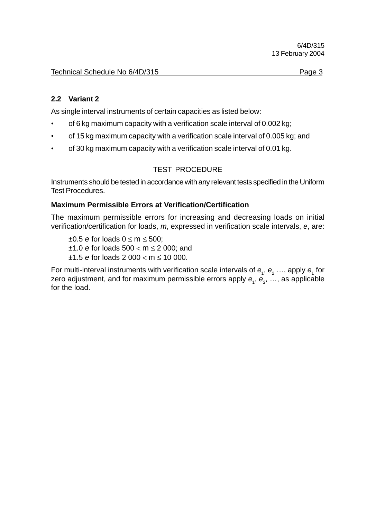# **2.2 Variant 2**

As single interval instruments of certain capacities as listed below:

- of 6 kg maximum capacity with a verification scale interval of 0.002 kg;
- of 15 kg maximum capacity with a verification scale interval of 0.005 kg; and
- of 30 kg maximum capacity with a verification scale interval of 0.01 kg.

# TEST PROCEDURE

Instruments should be tested in accordance with any relevant tests specified in the Uniform Test Procedures.

### **Maximum Permissible Errors at Verification/Certification**

The maximum permissible errors for increasing and decreasing loads on initial verification/certification for loads, *m*, expressed in verification scale intervals, *e*, are:

±0.5 *e* for loads 0 ≤ m ≤ 500; ±1.0 *e* for loads 500 < m ≤ 2 000; and ±1.5 *e* for loads 2 000 < m ≤ 10 000.

For multi-interval instruments with verification scale intervals of  $e_1$ ,  $e_2$  ..., apply  $e_1$  for zero adjustment, and for maximum permissible errors apply  $\bm{e}_{_1},\,\bm{e}_{_2},\,...,$  as applicable for the load.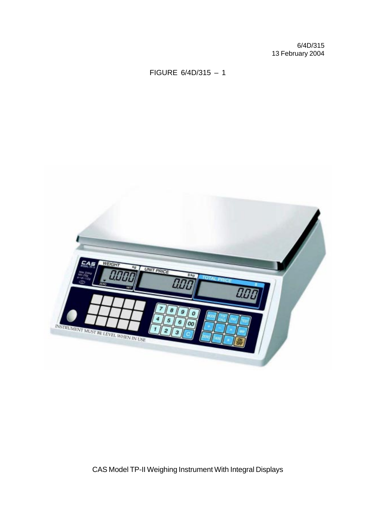# FIGURE 6/4D/315 – 1



CAS Model TP-II Weighing Instrument With Integral Displays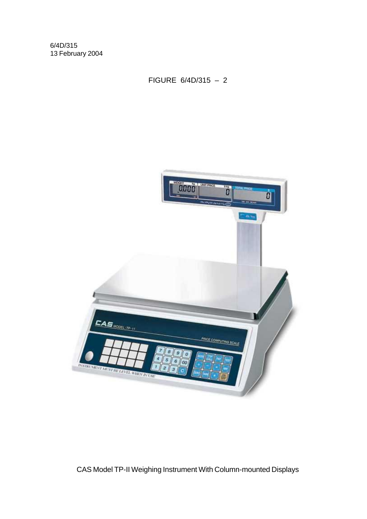FIGURE 6/4D/315 – 2



CAS Model TP-II Weighing Instrument With Column-mounted Displays